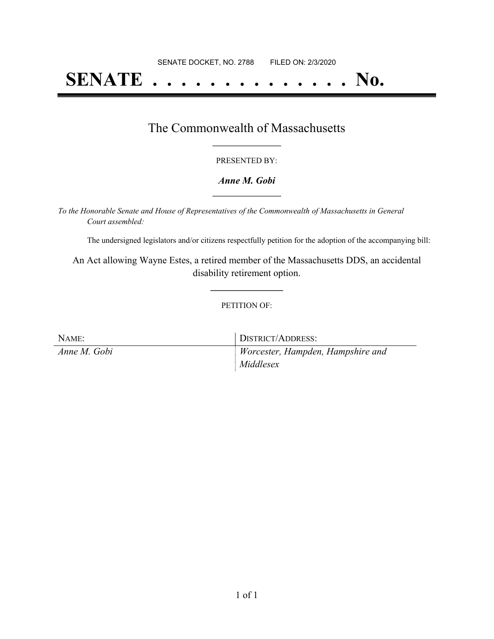# **SENATE . . . . . . . . . . . . . . No.**

### The Commonwealth of Massachusetts **\_\_\_\_\_\_\_\_\_\_\_\_\_\_\_\_\_**

#### PRESENTED BY:

#### *Anne M. Gobi* **\_\_\_\_\_\_\_\_\_\_\_\_\_\_\_\_\_**

*To the Honorable Senate and House of Representatives of the Commonwealth of Massachusetts in General Court assembled:*

The undersigned legislators and/or citizens respectfully petition for the adoption of the accompanying bill:

An Act allowing Wayne Estes, a retired member of the Massachusetts DDS, an accidental disability retirement option.

**\_\_\_\_\_\_\_\_\_\_\_\_\_\_\_**

#### PETITION OF:

| NAME:        | DISTRICT/ADDRESS:                              |
|--------------|------------------------------------------------|
| Anne M. Gobi | Worcester, Hampden, Hampshire and<br>Middlesex |